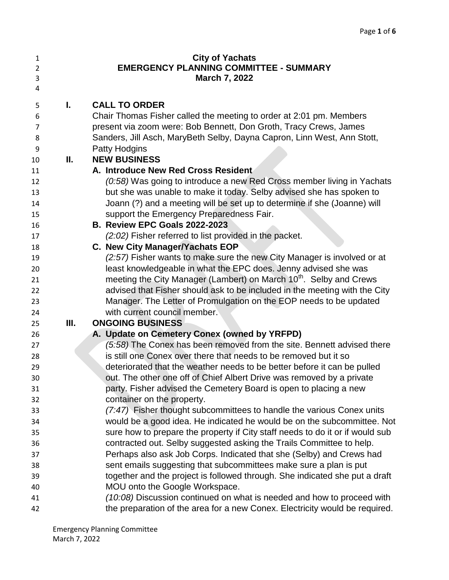| $\mathbf{1}$   |    | <b>City of Yachats</b>                                                         |
|----------------|----|--------------------------------------------------------------------------------|
| $\overline{2}$ |    | <b>EMERGENCY PLANNING COMMITTEE - SUMMARY</b>                                  |
| 3              |    | <b>March 7, 2022</b>                                                           |
| 4              |    |                                                                                |
| 5              | L. | <b>CALL TO ORDER</b>                                                           |
| 6              |    | Chair Thomas Fisher called the meeting to order at 2:01 pm. Members            |
| 7              |    | present via zoom were: Bob Bennett, Don Groth, Tracy Crews, James              |
| 8              |    | Sanders, Jill Asch, MaryBeth Selby, Dayna Capron, Linn West, Ann Stott,        |
| 9              |    | Patty Hodgins                                                                  |
| 10             | Ш. | <b>NEW BUSINESS</b>                                                            |
| 11             |    | A. Introduce New Red Cross Resident                                            |
| 12             |    | (0:58) Was going to introduce a new Red Cross member living in Yachats         |
| 13             |    | but she was unable to make it today. Selby advised she has spoken to           |
| 14             |    | Joann (?) and a meeting will be set up to determine if she (Joanne) will       |
| 15             |    | support the Emergency Preparedness Fair.                                       |
| 16             |    | B. Review EPC Goals 2022-2023                                                  |
| 17             |    | (2:02) Fisher referred to list provided in the packet.                         |
| 18             |    | C. New City Manager/Yachats EOP                                                |
| 19             |    | (2:57) Fisher wants to make sure the new City Manager is involved or at        |
| 20             |    | least knowledgeable in what the EPC does. Jenny advised she was                |
| 21             |    | meeting the City Manager (Lambert) on March 10 <sup>th</sup> . Selby and Crews |
| 22             |    | advised that Fisher should ask to be included in the meeting with the City     |
| 23             |    | Manager. The Letter of Promulgation on the EOP needs to be updated             |
| 24             |    | with current council member.                                                   |
| 25             | Ш. | <b>ONGOING BUSINESS</b>                                                        |
| 26             |    | A. Update on Cemetery Conex (owned by YRFPD)                                   |
| 27             |    | (5:58) The Conex has been removed from the site. Bennett advised there         |
| 28             |    | is still one Conex over there that needs to be removed but it so               |
| 29             |    | deteriorated that the weather needs to be better before it can be pulled       |
| 30             |    | out. The other one off of Chief Albert Drive was removed by a private          |
| 31             |    | party. Fisher advised the Cemetery Board is open to placing a new              |
| 32             |    | container on the property.                                                     |
| 33             |    | (7:47) Fisher thought subcommittees to handle the various Conex units          |
| 34             |    | would be a good idea. He indicated he would be on the subcommittee. Not        |
| 35             |    | sure how to prepare the property if City staff needs to do it or if would sub  |
| 36             |    | contracted out. Selby suggested asking the Trails Committee to help.           |
| 37             |    | Perhaps also ask Job Corps. Indicated that she (Selby) and Crews had           |
| 38             |    | sent emails suggesting that subcommittees make sure a plan is put              |
| 39             |    | together and the project is followed through. She indicated she put a draft    |
| 40             |    | MOU onto the Google Workspace.                                                 |
| 41             |    | (10:08) Discussion continued on what is needed and how to proceed with         |
| 42             |    | the preparation of the area for a new Conex. Electricity would be required.    |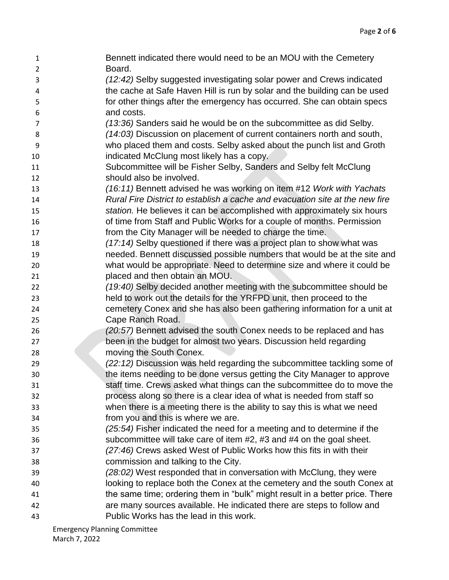Bennett indicated there would need to be an MOU with the Cemetery Board. *(12:42)* Selby suggested investigating solar power and Crews indicated the cache at Safe Haven Hill is run by solar and the building can be used for other things after the emergency has occurred. She can obtain specs and costs. *(13:36)* Sanders said he would be on the subcommittee as did Selby. *(14:03)* Discussion on placement of current containers north and south, who placed them and costs. Selby asked about the punch list and Groth indicated McClung most likely has a copy. 11 Subcommittee will be Fisher Selby, Sanders and Selby felt McClung should also be involved. *(16:11)* Bennett advised he was working on item #12 *Work with Yachats Rural Fire District to establish a cache and evacuation site at the new fire station.* He believes it can be accomplished with approximately six hours of time from Staff and Public Works for a couple of months. Permission from the City Manager will be needed to charge the time. *(17:14)* Selby questioned if there was a project plan to show what was needed. Bennett discussed possible numbers that would be at the site and what would be appropriate. Need to determine size and where it could be placed and then obtain an MOU. *(19:40)* Selby decided another meeting with the subcommittee should be held to work out the details for the YRFPD unit, then proceed to the cemetery Conex and she has also been gathering information for a unit at Cape Ranch Road. *(20:57)* Bennett advised the south Conex needs to be replaced and has been in the budget for almost two years. Discussion held regarding moving the South Conex. *(22:12)* Discussion was held regarding the subcommittee tackling some of **the items needing to be done versus getting the City Manager to approve**  staff time. Crews asked what things can the subcommittee do to move the process along so there is a clear idea of what is needed from staff so when there is a meeting there is the ability to say this is what we need from you and this is where we are. *(25:54)* Fisher indicated the need for a meeting and to determine if the subcommittee will take care of item #2, #3 and #4 on the goal sheet. *(27:46)* Crews asked West of Public Works how this fits in with their commission and talking to the City. *(28:02)* West responded that in conversation with McClung, they were looking to replace both the Conex at the cemetery and the south Conex at the same time; ordering them in "bulk" might result in a better price. There are many sources available. He indicated there are steps to follow and Public Works has the lead in this work.

Emergency Planning Committee March 7, 2022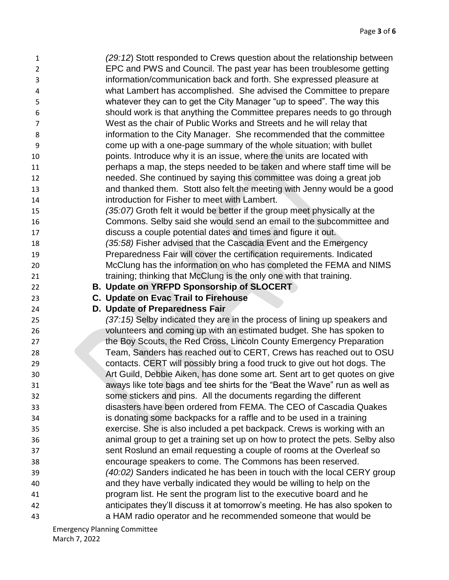| 1              | (29:12) Stott responded to Crews question about the relationship between     |
|----------------|------------------------------------------------------------------------------|
| $\overline{2}$ | EPC and PWS and Council. The past year has been troublesome getting          |
| 3              | information/communication back and forth. She expressed pleasure at          |
| 4              | what Lambert has accomplished. She advised the Committee to prepare          |
| 5              | whatever they can to get the City Manager "up to speed". The way this        |
| 6              | should work is that anything the Committee prepares needs to go through      |
| 7              | West as the chair of Public Works and Streets and he will relay that         |
| 8              | information to the City Manager. She recommended that the committee          |
| 9              | come up with a one-page summary of the whole situation; with bullet          |
| 10             | points. Introduce why it is an issue, where the units are located with       |
| 11             | perhaps a map, the steps needed to be taken and where staff time will be     |
| 12             | needed. She continued by saying this committee was doing a great job         |
| 13             | and thanked them. Stott also felt the meeting with Jenny would be a good     |
| 14             | introduction for Fisher to meet with Lambert.                                |
| 15             | (35:07) Groth felt it would be better if the group meet physically at the    |
| 16             | Commons. Selby said she would send an email to the subcommittee and          |
| 17             | discuss a couple potential dates and times and figure it out.                |
| 18             | (35:58) Fisher advised that the Cascadia Event and the Emergency             |
| 19             | Preparedness Fair will cover the certification requirements. Indicated       |
| 20             | McClung has the information on who has completed the FEMA and NIMS           |
| 21             | training; thinking that McClung is the only one with that training.          |
| 22             | <b>B. Update on YRFPD Sponsorship of SLOCERT</b>                             |
| 23             | C. Update on Evac Trail to Firehouse                                         |
| 24             | D. Update of Preparedness Fair                                               |
| 25             | (37:15) Selby indicated they are in the process of lining up speakers and    |
| 26             | volunteers and coming up with an estimated budget. She has spoken to         |
| 27             | the Boy Scouts, the Red Cross, Lincoln County Emergency Preparation          |
| 28             | Team, Sanders has reached out to CERT, Crews has reached out to OSU          |
| 29             | contacts. CERT will possibly bring a food truck to give out hot dogs. The    |
| 30             | Art Guild, Debbie Aiken, has done some art. Sent art to get quotes on give   |
| 31             | aways like tote bags and tee shirts for the "Beat the Wave" run as well as   |
| 32             | some stickers and pins. All the documents regarding the different            |
| 33             | disasters have been ordered from FEMA. The CEO of Cascadia Quakes            |
| 34             | is donating some backpacks for a raffle and to be used in a training         |
| 35             | exercise. She is also included a pet backpack. Crews is working with an      |
| 36             | animal group to get a training set up on how to protect the pets. Selby also |
| 37             | sent Roslund an email requesting a couple of rooms at the Overleaf so        |
| 38             | encourage speakers to come. The Commons has been reserved.                   |
| 39             | (40:02) Sanders indicated he has been in touch with the local CERY group     |
| 40             |                                                                              |
|                | and they have verbally indicated they would be willing to help on the        |
| 41             | program list. He sent the program list to the executive board and he         |
| 42             | anticipates they'll discuss it at tomorrow's meeting. He has also spoken to  |

Emergency Planning Committee March 7, 2022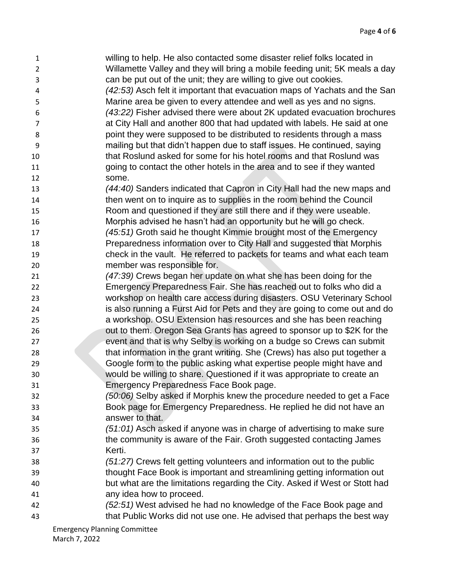- willing to help. He also contacted some disaster relief folks located in Willamette Valley and they will bring a mobile feeding unit; 5K meals a day can be put out of the unit; they are willing to give out cookies.
- *(42:53)* Asch felt it important that evacuation maps of Yachats and the San Marine area be given to every attendee and well as yes and no signs. *(43:22)* Fisher advised there were about 2K updated evacuation brochures at City Hall and another 800 that had updated with labels. He said at one point they were supposed to be distributed to residents through a mass
- mailing but that didn't happen due to staff issues. He continued, saying that Roslund asked for some for his hotel rooms and that Roslund was going to contact the other hotels in the area and to see if they wanted some.
- *(44:40)* Sanders indicated that Capron in City Hall had the new maps and then went on to inquire as to supplies in the room behind the Council
- Room and questioned if they are still there and if they were useable. Morphis advised he hasn't had an opportunity but he will go check.
- *(45:51)* Groth said he thought Kimmie brought most of the Emergency Preparedness information over to City Hall and suggested that Morphis check in the vault. He referred to packets for teams and what each team member was responsible for.
- *(47:39)* Crews began her update on what she has been doing for the Emergency Preparedness Fair. She has reached out to folks who did a workshop on health care access during disasters. OSU Veterinary School
- is also running a Furst Aid for Pets and they are going to come out and do a workshop. OSU Extension has resources and she has been reaching
- out to them. Oregon Sea Grants has agreed to sponsor up to \$2K for the event and that is why Selby is working on a budge so Crews can submit that information in the grant writing. She (Crews) has also put together a Google form to the public asking what expertise people might have and would be willing to share. Questioned if it was appropriate to create an Emergency Preparedness Face Book page.
- *(50:06)* Selby asked if Morphis knew the procedure needed to get a Face Book page for Emergency Preparedness. He replied he did not have an answer to that.
- *(51:01)* Asch asked if anyone was in charge of advertising to make sure the community is aware of the Fair. Groth suggested contacting James Kerti.
- *(51:27)* Crews felt getting volunteers and information out to the public thought Face Book is important and streamlining getting information out but what are the limitations regarding the City. Asked if West or Stott had any idea how to proceed.
- *(52:51)* West advised he had no knowledge of the Face Book page and that Public Works did not use one. He advised that perhaps the best way

Emergency Planning Committee March 7, 2022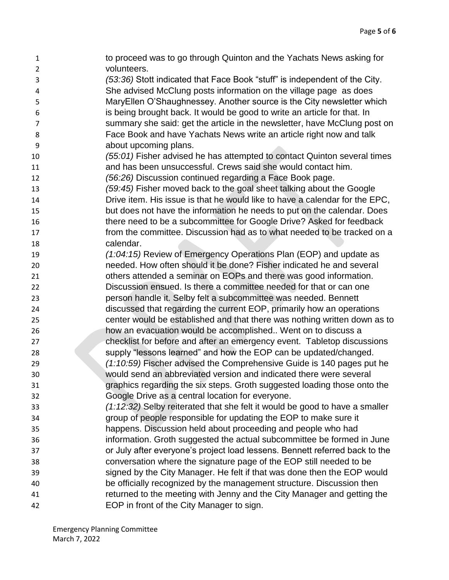| 1                       | to proceed was to go through Quinton and the Yachats News asking for                                                 |
|-------------------------|----------------------------------------------------------------------------------------------------------------------|
| $\overline{2}$          | volunteers.                                                                                                          |
| 3                       | (53:36) Stott indicated that Face Book "stuff" is independent of the City.                                           |
| $\overline{\mathbf{4}}$ | She advised McClung posts information on the village page as does                                                    |
| 5                       | MaryEllen O'Shaughnessey. Another source is the City newsletter which                                                |
| 6                       | is being brought back. It would be good to write an article for that. In                                             |
| $\overline{7}$          | summary she said: get the article in the newsletter, have McClung post on                                            |
| 8                       | Face Book and have Yachats News write an article right now and talk                                                  |
| 9                       | about upcoming plans.                                                                                                |
| 10                      | (55:01) Fisher advised he has attempted to contact Quinton several times                                             |
| 11                      | and has been unsuccessful. Crews said she would contact him.                                                         |
| 12                      | (56:26) Discussion continued regarding a Face Book page.                                                             |
| 13                      | (59:45) Fisher moved back to the goal sheet talking about the Google                                                 |
| 14                      | Drive item. His issue is that he would like to have a calendar for the EPC,                                          |
| 15                      | but does not have the information he needs to put on the calendar. Does                                              |
| 16                      | there need to be a subcommittee for Google Drive? Asked for feedback                                                 |
| 17                      | from the committee. Discussion had as to what needed to be tracked on a                                              |
| 18                      | calendar.                                                                                                            |
| 19                      | (1:04:15) Review of Emergency Operations Plan (EOP) and update as                                                    |
| 20                      | needed. How often should it be done? Fisher indicated he and several                                                 |
| 21                      | others attended a seminar on EOPs and there was good information.                                                    |
| 22                      | Discussion ensued. Is there a committee needed for that or can one                                                   |
| 23                      | person handle it. Selby felt a subcommittee was needed. Bennett                                                      |
| 24                      | discussed that regarding the current EOP, primarily how an operations                                                |
| 25                      | center would be established and that there was nothing written down as to                                            |
| 26                      | how an evacuation would be accomplished Went on to discuss a                                                         |
| 27                      | checklist for before and after an emergency event. Tabletop discussions                                              |
| 28                      | supply "lessons learned" and how the EOP can be updated/changed.                                                     |
| 29                      | $(1:10:59)$ Fischer advised the Comprehensive Guide is 140 pages put he                                              |
| 30                      | would send an abbreviated version and indicated there were several                                                   |
| 31                      | graphics regarding the six steps. Groth suggested loading those onto the                                             |
| 32                      | Google Drive as a central location for everyone.                                                                     |
| 33                      | (1:12:32) Selby reiterated that she felt it would be good to have a smaller                                          |
| 34                      | group of people responsible for updating the EOP to make sure it                                                     |
| 35                      | happens. Discussion held about proceeding and people who had                                                         |
| 36                      | information. Groth suggested the actual subcommittee be formed in June                                               |
| 37                      | or July after everyone's project load lessens. Bennett referred back to the                                          |
| 38                      | conversation where the signature page of the EOP still needed to be                                                  |
| 39                      | signed by the City Manager. He felt if that was done then the EOP would                                              |
| 40                      | be officially recognized by the management structure. Discussion then                                                |
|                         |                                                                                                                      |
|                         |                                                                                                                      |
| 41<br>42                | returned to the meeting with Jenny and the City Manager and getting the<br>EOP in front of the City Manager to sign. |